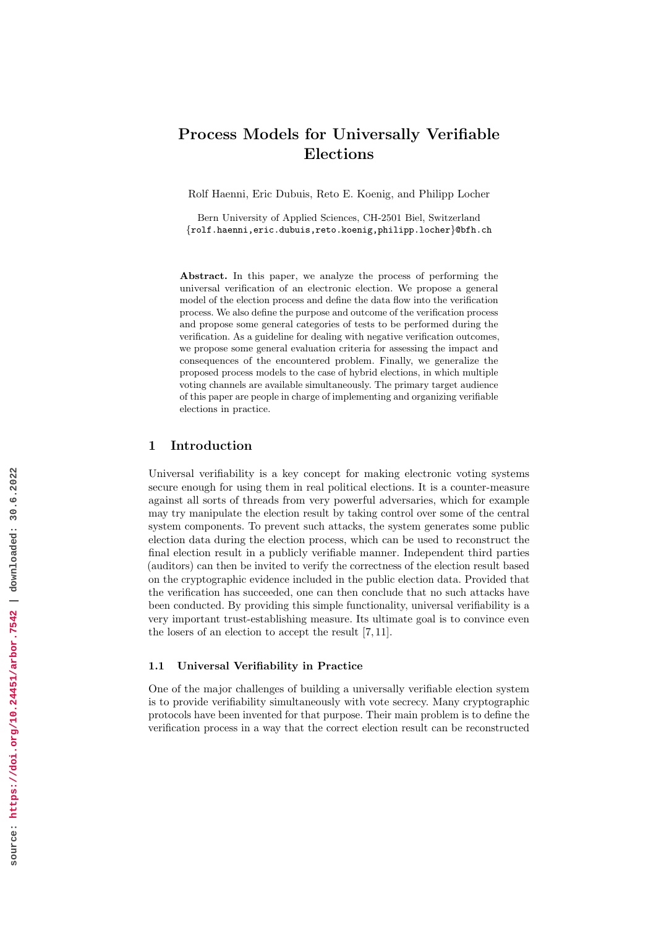# Process Models for Universally Verifiable Elections

Rolf Haenni, Eric Dubuis, Reto E. Koenig, and Philipp Locher

Bern University of Applied Sciences, CH-2501 Biel, Switzerland {rolf.haenni,eric.dubuis,reto.koenig,philipp.locher }@bfh.ch

Abstract. In this paper, we analyze the process of performing the universal verification of an electronic election. We propose a general model of the election process and define the data flow into the verification process. We also define the purpose and outcome of the verification process and propose some general categories of tests to be performed during the verification. As a guideline for dealing with negative verification outcomes, we propose some general evaluation criteria for assessing the impact and consequences of the encountered problem. Finally, we generalize the proposed process models to the case of hybrid elections, in which multiple voting channels are available simultaneously. The primary target audience of this paper are people in charge of implementing and organizing verifiable elections in practice.

# 1 Introduction

Universal verifiability is a key concept for making electronic voting systems secure enough for using them in real political elections. It is a counter-measure against all sorts of threads from very powerful adversaries, which for example may try manipulate the election result by taking control over some of the central system components. To prevent such attacks, the system generates some public election data during the election process, which can be used to reconstruct the final election result in a publicly verifiable manner. Independent third parties (auditors) can then be invited to verify the correctness of the election result based on the cryptographic evidence included in the public election data. Provided that the verification has succeeded, one can then conclude that no such attacks have been conducted. By providing this simple functionality, universal verifiability is a very important trust-establishing measure. Its ultimate goal is to convince even the losers of an election to accept the result [7, 11].

#### 1.1 Universal Verifiability in Practice

One of the major challenges of building a universally verifiable election system is to provide verifiability simultaneously with vote secrecy. Many cryptographic protocols have been invented for that purpose. Their main problem is to define the verification process in a way that the correct election result can be reconstructed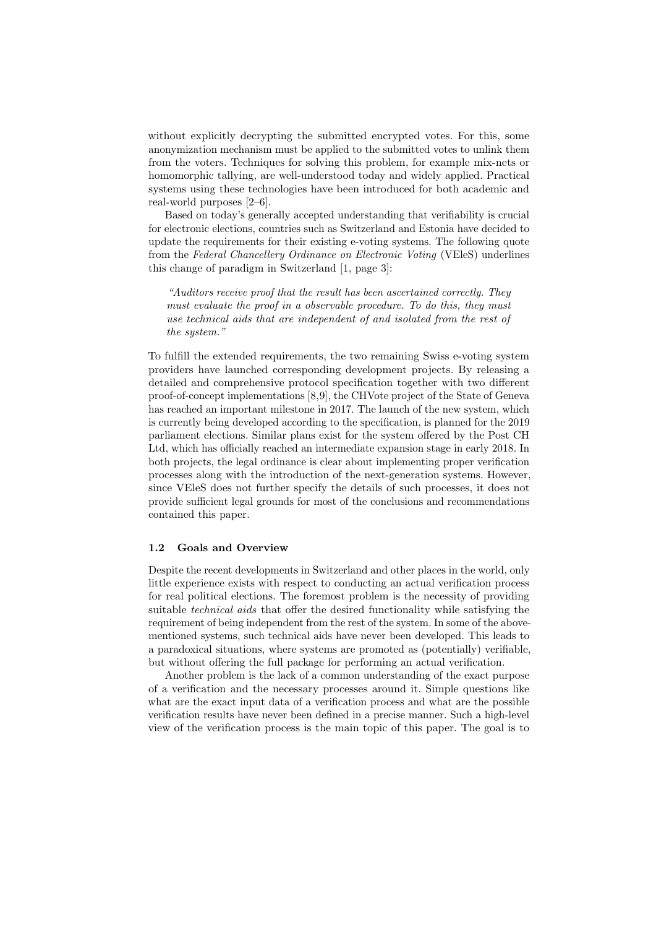without explicitly decrypting the submitted encrypted votes. For this, some anonymization mechanism must be applied to the submitted votes to unlink them from the voters. Techniques for solving this problem, for example mix-nets or homomorphic tallying, are well-understood today and widely applied. Practical systems using these technologies have been introduced for both academic and real-world purposes [2–6].

Based on today's generally accepted understanding that verifiability is crucial for electronic elections, countries such as Switzerland and Estonia have decided to update the requirements for their existing e-voting systems. The following quote from the Federal Chancellery Ordinance on Electronic Voting (VEleS) underlines this change of paradigm in Switzerland [1, page 3]:

"Auditors receive proof that the result has been ascertained correctly. They must evaluate the proof in a observable procedure. To do this, they must use technical aids that are independent of and isolated from the rest of the system."

To fulfill the extended requirements, the two remaining Swiss e-voting system providers have launched corresponding development projects. By releasing a detailed and comprehensive protocol specification together with two different proof-of-concept implementations [8,9], the CHVote project of the State of Geneva has reached an important milestone in 2017. The launch of the new system, which is currently being developed according to the specification, is planned for the 2019 parliament elections. Similar plans exist for the system offered by the Post CH Ltd, which has officially reached an intermediate expansion stage in early 2018. In both projects, the legal ordinance is clear about implementing proper verification processes along with the introduction of the next-generation systems. However, since VEleS does not further specify the details of such processes, it does not provide sufficient legal grounds for most of the conclusions and recommendations contained this paper.

#### 1.2 Goals and Overview

Despite the recent developments in Switzerland and other places in the world, only little experience exists with respect to conducting an actual verification process for real political elections. The foremost problem is the necessity of providing suitable *technical aids* that offer the desired functionality while satisfying the requirement of being independent from the rest of the system. In some of the abovementioned systems, such technical aids have never been developed. This leads to a paradoxical situations, where systems are promoted as (potentially) verifiable, but without offering the full package for performing an actual verification.

Another problem is the lack of a common understanding of the exact purpose of a verification and the necessary processes around it. Simple questions like what are the exact input data of a verification process and what are the possible verification results have never been defined in a precise manner. Such a high-level view of the verification process is the main topic of this paper. The goal is to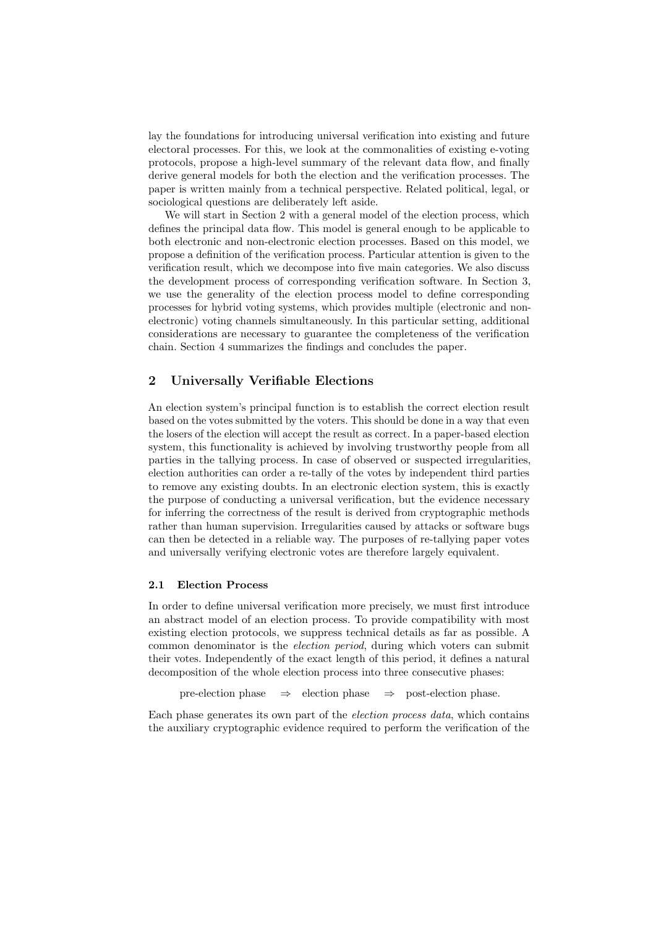lay the foundations for introducing universal verification into existing and future electoral processes. For this, we look at the commonalities of existing e-voting protocols, propose a high-level summary of the relevant data flow, and finally derive general models for both the election and the verification processes. The paper is written mainly from a technical perspective. Related political, legal, or sociological questions are deliberately left aside.

We will start in Section 2 with a general model of the election process, which defines the principal data flow. This model is general enough to be applicable to both electronic and non-electronic election processes. Based on this model, we propose a definition of the verification process. Particular attention is given to the verification result, which we decompose into five main categories. We also discuss the development process of corresponding verification software. In Section 3, we use the generality of the election process model to define corresponding processes for hybrid voting systems, which provides multiple (electronic and nonelectronic) voting channels simultaneously. In this particular setting, additional considerations are necessary to guarantee the completeness of the verification chain. Section 4 summarizes the findings and concludes the paper.

# 2 Universally Verifiable Elections

An election system's principal function is to establish the correct election result based on the votes submitted by the voters. This should be done in a way that even the losers of the election will accept the result as correct. In a paper-based election system, this functionality is achieved by involving trustworthy people from all parties in the tallying process. In case of observed or suspected irregularities, election authorities can order a re-tally of the votes by independent third parties to remove any existing doubts. In an electronic election system, this is exactly the purpose of conducting a universal verification, but the evidence necessary for inferring the correctness of the result is derived from cryptographic methods rather than human supervision. Irregularities caused by attacks or software bugs can then be detected in a reliable way. The purposes of re-tallying paper votes and universally verifying electronic votes are therefore largely equivalent.

# 2.1 Election Process

In order to define universal verification more precisely, we must first introduce an abstract model of an election process. To provide compatibility with most existing election protocols, we suppress technical details as far as possible. A common denominator is the *election period*, during which voters can submit their votes. Independently of the exact length of this period, it defines a natural decomposition of the whole election process into three consecutive phases:

```
pre-election phase \Rightarrow election phase \Rightarrow post-election phase.
```
Each phase generates its own part of the election process data, which contains the auxiliary cryptographic evidence required to perform the verification of the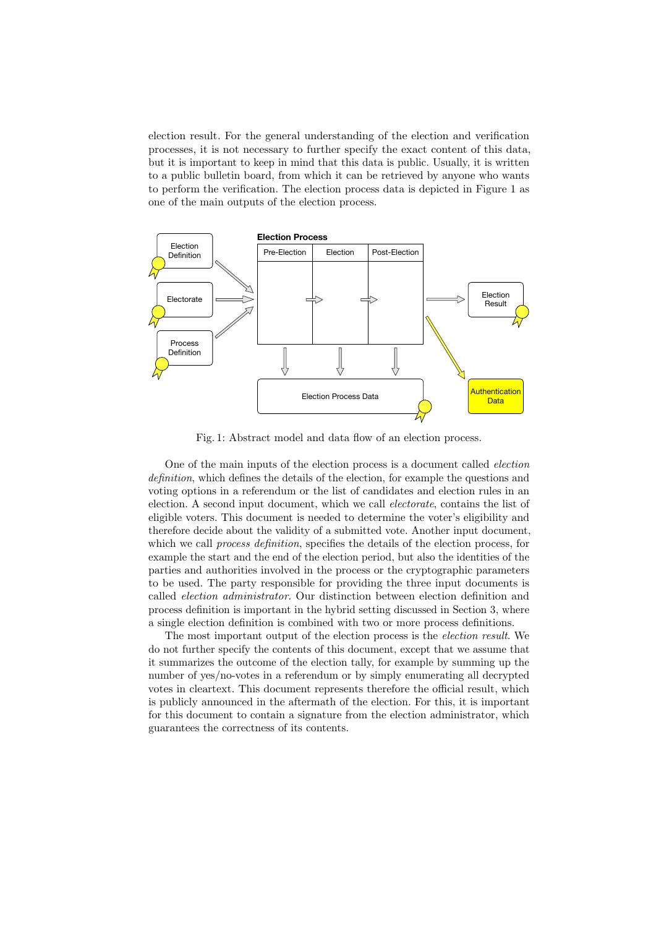election result. For the general understanding of the election and verification processes, it is not necessary to further specify the exact content of this data, but it is important to keep in mind that this data is public. Usually, it is written to a public bulletin board, from which it can be retrieved by anyone who wants to perform the verification. The election process data is depicted in Figure 1 as one of the main outputs of the election process.



Fig. 1: Abstract model and data flow of an election process.

One of the main inputs of the election process is a document called election definition, which defines the details of the election, for example the questions and voting options in a referendum or the list of candidates and election rules in an election. A second input document, which we call *electorate*, contains the list of eligible voters. This document is needed to determine the voter's eligibility and therefore decide about the validity of a submitted vote. Another input document, which we call *process definition*, specifies the details of the election process, for example the start and the end of the election period, but also the identities of the parties and authorities involved in the process or the cryptographic parameters to be used. The party responsible for providing the three input documents is called election administrator. Our distinction between election definition and process definition is important in the hybrid setting discussed in Section 3, where a single election definition is combined with two or more process definitions.

The most important output of the election process is the election result. We do not further specify the contents of this document, except that we assume that it summarizes the outcome of the election tally, for example by summing up the number of yes/no-votes in a referendum or by simply enumerating all decrypted votes in cleartext. This document represents therefore the official result, which is publicly announced in the aftermath of the election. For this, it is important for this document to contain a signature from the election administrator, which guarantees the correctness of its contents.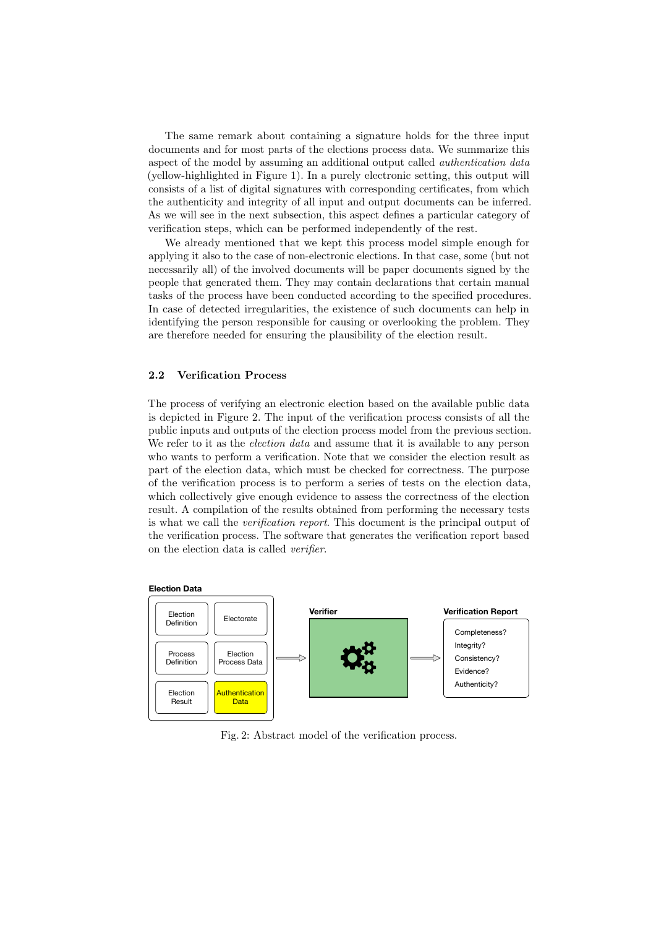The same remark about containing a signature holds for the three input documents and for most parts of the elections process data. We summarize this aspect of the model by assuming an additional output called authentication data (yellow-highlighted in Figure 1). In a purely electronic setting, this output will consists of a list of digital signatures with corresponding certificates, from which the authenticity and integrity of all input and output documents can be inferred. As we will see in the next subsection, this aspect defines a particular category of verification steps, which can be performed independently of the rest.

We already mentioned that we kept this process model simple enough for applying it also to the case of non-electronic elections. In that case, some (but not necessarily all) of the involved documents will be paper documents signed by the people that generated them. They may contain declarations that certain manual tasks of the process have been conducted according to the specified procedures. In case of detected irregularities, the existence of such documents can help in identifying the person responsible for causing or overlooking the problem. They are therefore needed for ensuring the plausibility of the election result.

#### 2.2 Verification Process

The process of verifying an electronic election based on the available public data is depicted in Figure 2. The input of the verification process consists of all the public inputs and outputs of the election process model from the previous section. We refer to it as the *election data* and assume that it is available to any person who wants to perform a verification. Note that we consider the election result as part of the election data, which must be checked for correctness. The purpose of the verification process is to perform a series of tests on the election data, which collectively give enough evidence to assess the correctness of the election result. A compilation of the results obtained from performing the necessary tests is what we call the verification report. This document is the principal output of the verification process. The software that generates the verification report based on the election data is called verifier.



Fig. 2: Abstract model of the verification process.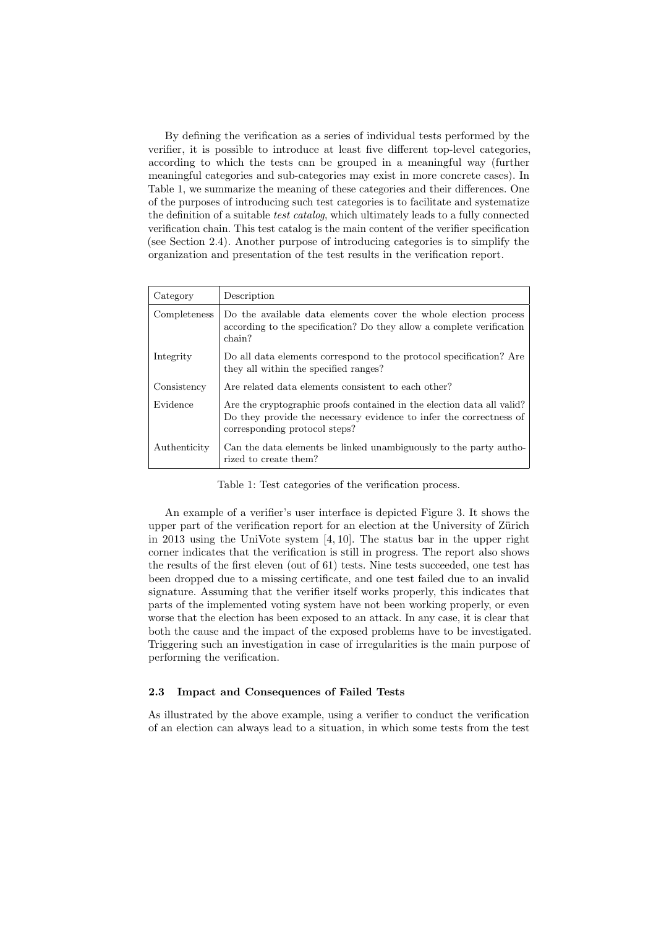By defining the verification as a series of individual tests performed by the verifier, it is possible to introduce at least five different top-level categories, according to which the tests can be grouped in a meaningful way (further meaningful categories and sub-categories may exist in more concrete cases). In Table 1, we summarize the meaning of these categories and their differences. One of the purposes of introducing such test categories is to facilitate and systematize the definition of a suitable test catalog, which ultimately leads to a fully connected verification chain. This test catalog is the main content of the verifier specification (see Section 2.4). Another purpose of introducing categories is to simplify the organization and presentation of the test results in the verification report.

| Category     | Description                                                                                                                                                                   |  |
|--------------|-------------------------------------------------------------------------------------------------------------------------------------------------------------------------------|--|
| Completeness | Do the available data elements cover the whole election process<br>according to the specification? Do they allow a complete verification<br>chain?                            |  |
| Integrity    | Do all data elements correspond to the protocol specification? Are<br>they all within the specified ranges?                                                                   |  |
| Consistency  | Are related data elements consistent to each other?                                                                                                                           |  |
| Evidence     | Are the cryptographic proofs contained in the election data all valid?<br>Do they provide the necessary evidence to infer the correctness of<br>corresponding protocol steps? |  |
| Authenticity | Can the data elements be linked unambiguously to the party autho-<br>rized to create them?                                                                                    |  |

Table 1: Test categories of the verification process.

An example of a verifier's user interface is depicted Figure 3. It shows the upper part of the verification report for an election at the University of Zürich in 2013 using the UniVote system [4, 10]. The status bar in the upper right corner indicates that the verification is still in progress. The report also shows the results of the first eleven (out of 61) tests. Nine tests succeeded, one test has been dropped due to a missing certificate, and one test failed due to an invalid signature. Assuming that the verifier itself works properly, this indicates that parts of the implemented voting system have not been working properly, or even worse that the election has been exposed to an attack. In any case, it is clear that both the cause and the impact of the exposed problems have to be investigated. Triggering such an investigation in case of irregularities is the main purpose of performing the verification.

#### 2.3 Impact and Consequences of Failed Tests

As illustrated by the above example, using a verifier to conduct the verification of an election can always lead to a situation, in which some tests from the test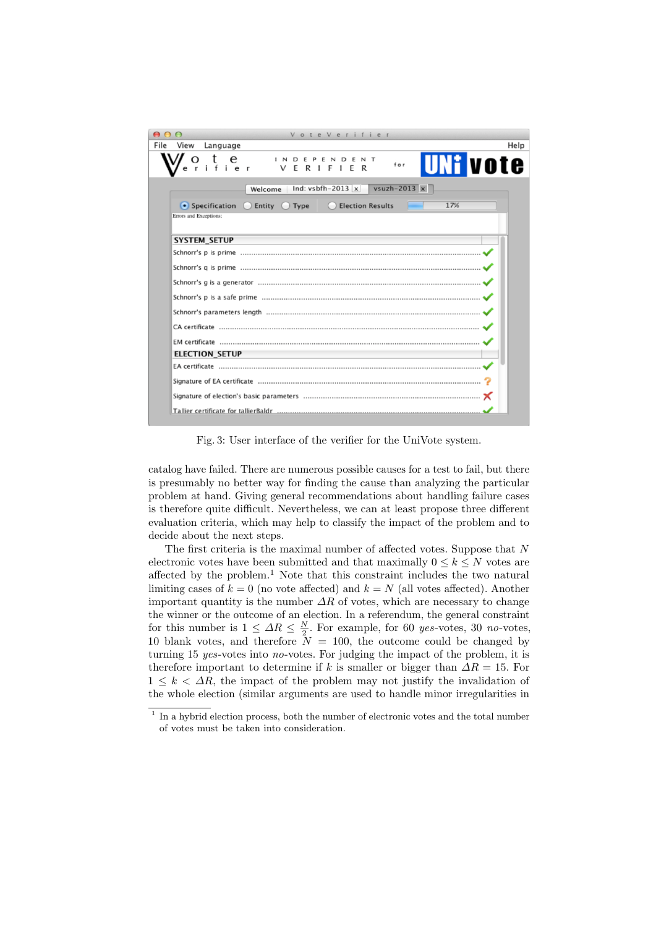

Fig. 3: User interface of the verifier for the UniVote system.

catalog have failed. There are numerous possible causes for a test to fail, but there is presumably no better way for finding the cause than analyzing the particular problem at hand. Giving general recommendations about handling failure cases is therefore quite difficult. Nevertheless, we can at least propose three different evaluation criteria, which may help to classify the impact of the problem and to decide about the next steps.

The first criteria is the maximal number of affected votes. Suppose that  $N$ electronic votes have been submitted and that maximally  $0 \leq k \leq N$  votes are affected by the problem.<sup>1</sup> Note that this constraint includes the two natural limiting cases of  $k = 0$  (no vote affected) and  $k = N$  (all votes affected). Another important quantity is the number  $\Delta R$  of votes, which are necessary to change the winner or the outcome of an election. In a referendum, the general constraint for this number is  $1 \leq \Delta R \leq \frac{N}{2}$ . For example, for 60 yes-votes, 30 no-votes, 10 blank votes, and therefore  $\tilde{N} = 100$ , the outcome could be changed by turning 15 yes-votes into no-votes. For judging the impact of the problem, it is therefore important to determine if k is smaller or bigger than  $\Delta R = 15$ . For  $1 \leq k < \Delta R$ , the impact of the problem may not justify the invalidation of the whole election (similar arguments are used to handle minor irregularities in

<sup>&</sup>lt;sup>1</sup> In a hybrid election process, both the number of electronic votes and the total number of votes must be taken into consideration.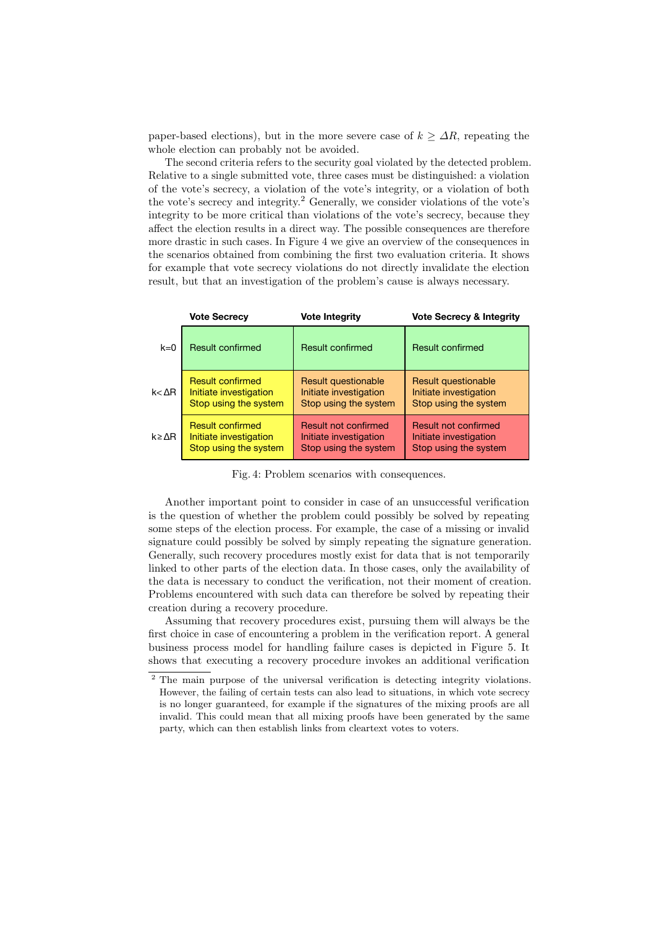paper-based elections), but in the more severe case of  $k \geq \Delta R$ , repeating the whole election can probably not be avoided.

The second criteria refers to the security goal violated by the detected problem. Relative to a single submitted vote, three cases must be distinguished: a violation of the vote's secrecy, a violation of the vote's integrity, or a violation of both the vote's secrecy and integrity.<sup>2</sup> Generally, we consider violations of the vote's integrity to be more critical than violations of the vote's secrecy, because they affect the election results in a direct way. The possible consequences are therefore more drastic in such cases. In Figure 4 we give an overview of the consequences in the scenarios obtained from combining the first two evaluation criteria. It shows for example that vote secrecy violations do not directly invalidate the election result, but that an investigation of the problem's cause is always necessary.

|              | <b>Vote Secrecy</b>     | <b>Vote Integrity</b>      | <b>Vote Secrecy &amp; Integrity</b> |
|--------------|-------------------------|----------------------------|-------------------------------------|
| $k=0$        | <b>Result confirmed</b> | Result confirmed           | <b>Result confirmed</b>             |
| $k<\Delta R$ | <b>Result confirmed</b> | <b>Result questionable</b> | Result questionable                 |
|              | Initiate investigation  | Initiate investigation     | Initiate investigation              |
|              | Stop using the system   | Stop using the system      | Stop using the system               |
| k≥∆R         | <b>Result confirmed</b> | Result not confirmed       | Result not confirmed                |
|              | Initiate investigation  | Initiate investigation     | Initiate investigation              |
|              | Stop using the system   | Stop using the system      | Stop using the system               |

Fig. 4: Problem scenarios with consequences.

Another important point to consider in case of an unsuccessful verification is the question of whether the problem could possibly be solved by repeating some steps of the election process. For example, the case of a missing or invalid signature could possibly be solved by simply repeating the signature generation. Generally, such recovery procedures mostly exist for data that is not temporarily linked to other parts of the election data. In those cases, only the availability of the data is necessary to conduct the verification, not their moment of creation. Problems encountered with such data can therefore be solved by repeating their creation during a recovery procedure.

Assuming that recovery procedures exist, pursuing them will always be the first choice in case of encountering a problem in the verification report. A general business process model for handling failure cases is depicted in Figure 5. It shows that executing a recovery procedure invokes an additional verification

<sup>&</sup>lt;sup>2</sup> The main purpose of the universal verification is detecting integrity violations. However, the failing of certain tests can also lead to situations, in which vote secrecy is no longer guaranteed, for example if the signatures of the mixing proofs are all invalid. This could mean that all mixing proofs have been generated by the same party, which can then establish links from cleartext votes to voters.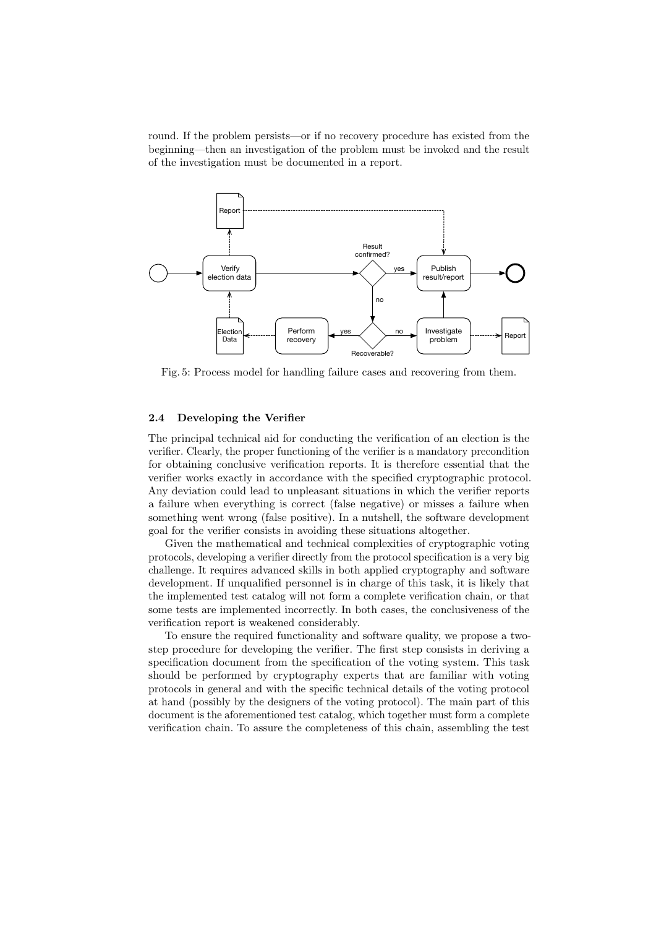round. If the problem persists—or if no recovery procedure has existed from the beginning—then an investigation of the problem must be invoked and the result of the investigation must be documented in a report.



Fig. 5: Process model for handling failure cases and recovering from them.

#### 2.4 Developing the Verifier

The principal technical aid for conducting the verification of an election is the verifier. Clearly, the proper functioning of the verifier is a mandatory precondition for obtaining conclusive verification reports. It is therefore essential that the verifier works exactly in accordance with the specified cryptographic protocol. Any deviation could lead to unpleasant situations in which the verifier reports a failure when everything is correct (false negative) or misses a failure when something went wrong (false positive). In a nutshell, the software development goal for the verifier consists in avoiding these situations altogether.

Given the mathematical and technical complexities of cryptographic voting protocols, developing a verifier directly from the protocol specification is a very big challenge. It requires advanced skills in both applied cryptography and software development. If unqualified personnel is in charge of this task, it is likely that the implemented test catalog will not form a complete verification chain, or that some tests are implemented incorrectly. In both cases, the conclusiveness of the verification report is weakened considerably.

To ensure the required functionality and software quality, we propose a twostep procedure for developing the verifier. The first step consists in deriving a specification document from the specification of the voting system. This task should be performed by cryptography experts that are familiar with voting protocols in general and with the specific technical details of the voting protocol at hand (possibly by the designers of the voting protocol). The main part of this document is the aforementioned test catalog, which together must form a complete verification chain. To assure the completeness of this chain, assembling the test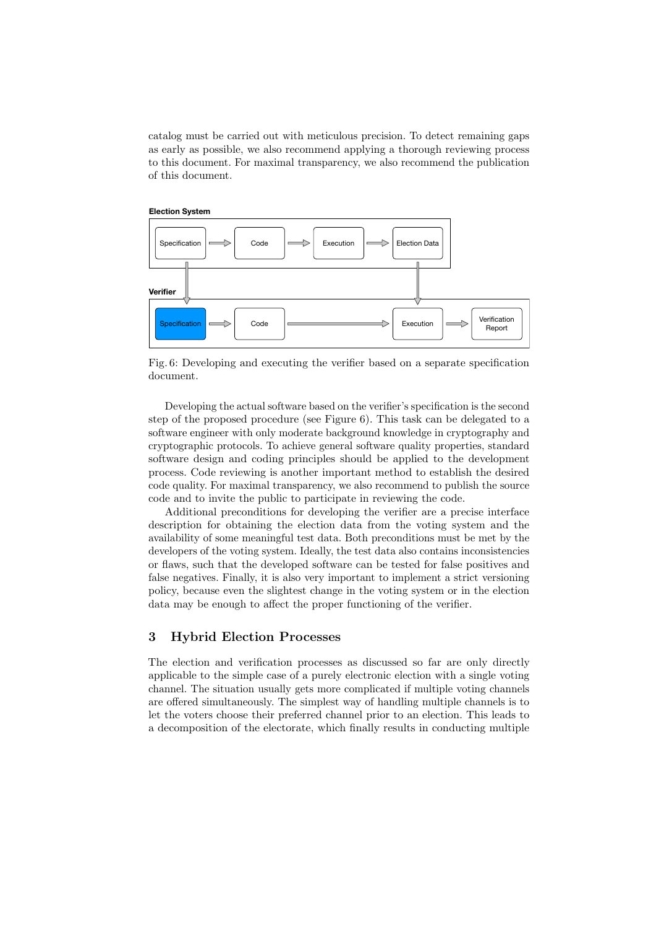catalog must be carried out with meticulous precision. To detect remaining gaps as early as possible, we also recommend applying a thorough reviewing process to this document. For maximal transparency, we also recommend the publication of this document.



Fig. 6: Developing and executing the verifier based on a separate specification document.

Developing the actual software based on the verifier's specification is the second step of the proposed procedure (see Figure 6). This task can be delegated to a software engineer with only moderate background knowledge in cryptography and cryptographic protocols. To achieve general software quality properties, standard software design and coding principles should be applied to the development process. Code reviewing is another important method to establish the desired code quality. For maximal transparency, we also recommend to publish the source code and to invite the public to participate in reviewing the code.

Additional preconditions for developing the verifier are a precise interface description for obtaining the election data from the voting system and the availability of some meaningful test data. Both preconditions must be met by the developers of the voting system. Ideally, the test data also contains inconsistencies or flaws, such that the developed software can be tested for false positives and false negatives. Finally, it is also very important to implement a strict versioning policy, because even the slightest change in the voting system or in the election data may be enough to affect the proper functioning of the verifier.

# 3 Hybrid Election Processes

The election and verification processes as discussed so far are only directly applicable to the simple case of a purely electronic election with a single voting channel. The situation usually gets more complicated if multiple voting channels are offered simultaneously. The simplest way of handling multiple channels is to let the voters choose their preferred channel prior to an election. This leads to a decomposition of the electorate, which finally results in conducting multiple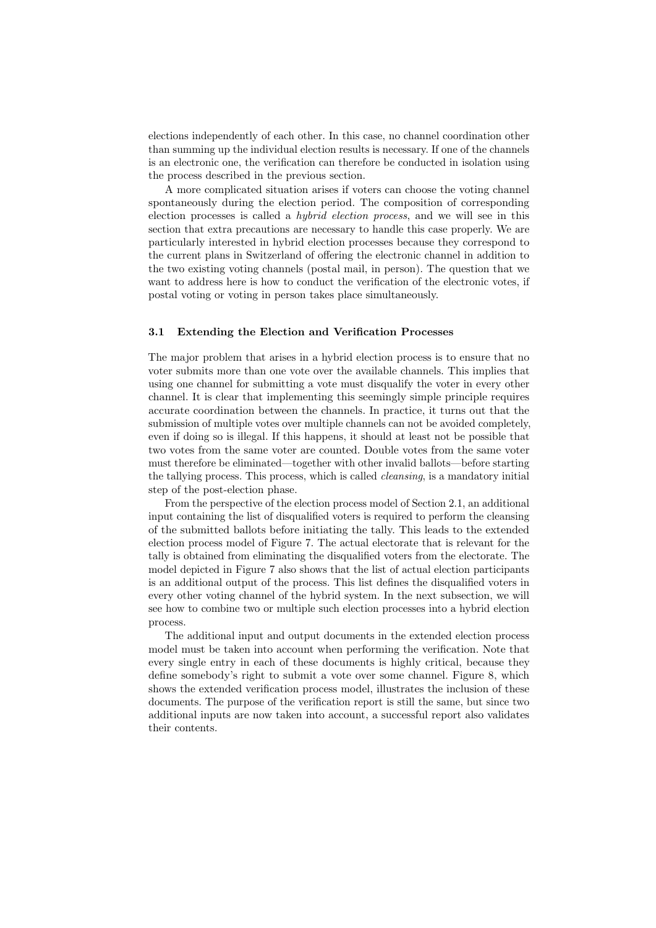elections independently of each other. In this case, no channel coordination other than summing up the individual election results is necessary. If one of the channels is an electronic one, the verification can therefore be conducted in isolation using the process described in the previous section.

A more complicated situation arises if voters can choose the voting channel spontaneously during the election period. The composition of corresponding election processes is called a hybrid election process, and we will see in this section that extra precautions are necessary to handle this case properly. We are particularly interested in hybrid election processes because they correspond to the current plans in Switzerland of offering the electronic channel in addition to the two existing voting channels (postal mail, in person). The question that we want to address here is how to conduct the verification of the electronic votes, if postal voting or voting in person takes place simultaneously.

#### 3.1 Extending the Election and Verification Processes

The major problem that arises in a hybrid election process is to ensure that no voter submits more than one vote over the available channels. This implies that using one channel for submitting a vote must disqualify the voter in every other channel. It is clear that implementing this seemingly simple principle requires accurate coordination between the channels. In practice, it turns out that the submission of multiple votes over multiple channels can not be avoided completely, even if doing so is illegal. If this happens, it should at least not be possible that two votes from the same voter are counted. Double votes from the same voter must therefore be eliminated—together with other invalid ballots—before starting the tallying process. This process, which is called cleansing, is a mandatory initial step of the post-election phase.

From the perspective of the election process model of Section 2.1, an additional input containing the list of disqualified voters is required to perform the cleansing of the submitted ballots before initiating the tally. This leads to the extended election process model of Figure 7. The actual electorate that is relevant for the tally is obtained from eliminating the disqualified voters from the electorate. The model depicted in Figure 7 also shows that the list of actual election participants is an additional output of the process. This list defines the disqualified voters in every other voting channel of the hybrid system. In the next subsection, we will see how to combine two or multiple such election processes into a hybrid election process.

The additional input and output documents in the extended election process model must be taken into account when performing the verification. Note that every single entry in each of these documents is highly critical, because they define somebody's right to submit a vote over some channel. Figure 8, which shows the extended verification process model, illustrates the inclusion of these documents. The purpose of the verification report is still the same, but since two additional inputs are now taken into account, a successful report also validates their contents.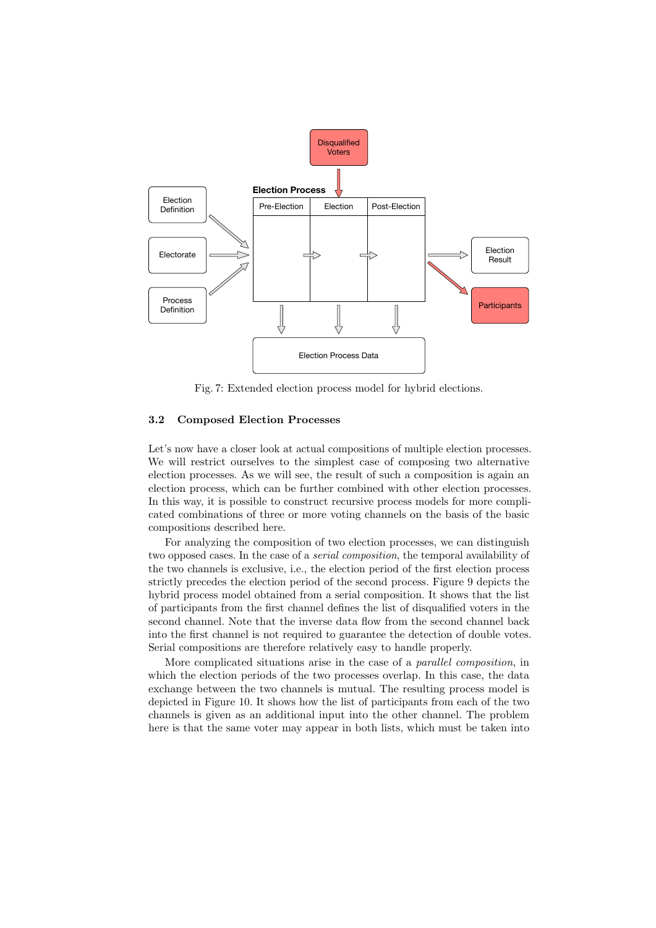

Fig. 7: Extended election process model for hybrid elections.

#### 3.2 Composed Election Processes

Let's now have a closer look at actual compositions of multiple election processes. We will restrict ourselves to the simplest case of composing two alternative election processes. As we will see, the result of such a composition is again an election process, which can be further combined with other election processes. In this way, it is possible to construct recursive process models for more complicated combinations of three or more voting channels on the basis of the basic compositions described here.

For analyzing the composition of two election processes, we can distinguish two opposed cases. In the case of a *serial composition*, the temporal availability of the two channels is exclusive, i.e., the election period of the first election process strictly precedes the election period of the second process. Figure 9 depicts the hybrid process model obtained from a serial composition. It shows that the list of participants from the first channel defines the list of disqualified voters in the second channel. Note that the inverse data flow from the second channel back into the first channel is not required to guarantee the detection of double votes. Serial compositions are therefore relatively easy to handle properly.

More complicated situations arise in the case of a *parallel composition*, in which the election periods of the two processes overlap. In this case, the data exchange between the two channels is mutual. The resulting process model is depicted in Figure 10. It shows how the list of participants from each of the two channels is given as an additional input into the other channel. The problem here is that the same voter may appear in both lists, which must be taken into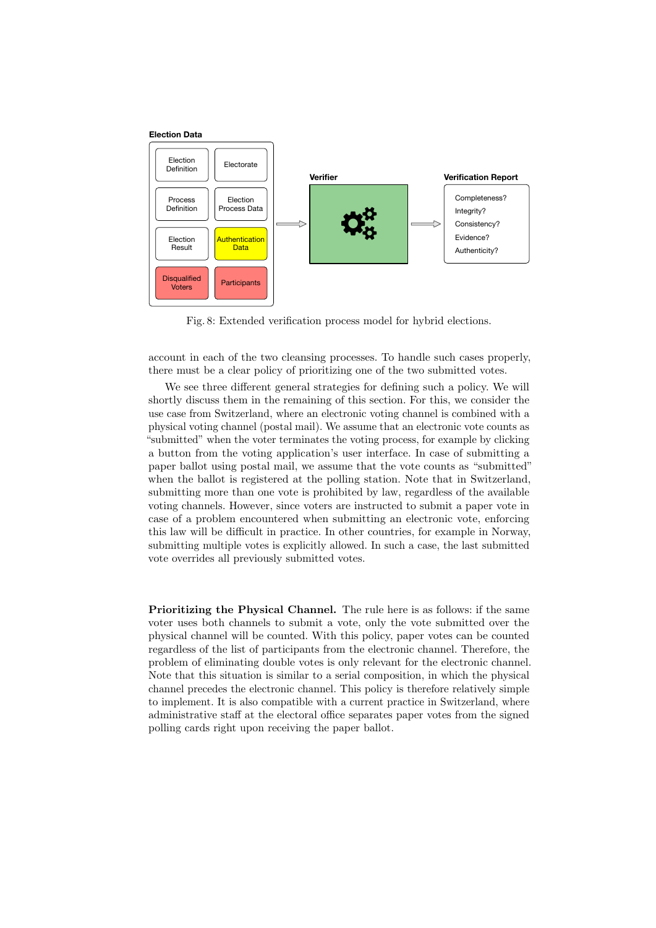

Fig. 8: Extended verification process model for hybrid elections.

account in each of the two cleansing processes. To handle such cases properly, there must be a clear policy of prioritizing one of the two submitted votes.

We see three different general strategies for defining such a policy. We will shortly discuss them in the remaining of this section. For this, we consider the use case from Switzerland, where an electronic voting channel is combined with a physical voting channel (postal mail). We assume that an electronic vote counts as "submitted" when the voter terminates the voting process, for example by clicking a button from the voting application's user interface. In case of submitting a paper ballot using postal mail, we assume that the vote counts as "submitted" when the ballot is registered at the polling station. Note that in Switzerland, submitting more than one vote is prohibited by law, regardless of the available voting channels. However, since voters are instructed to submit a paper vote in case of a problem encountered when submitting an electronic vote, enforcing this law will be difficult in practice. In other countries, for example in Norway, submitting multiple votes is explicitly allowed. In such a case, the last submitted vote overrides all previously submitted votes.

Prioritizing the Physical Channel. The rule here is as follows: if the same voter uses both channels to submit a vote, only the vote submitted over the physical channel will be counted. With this policy, paper votes can be counted regardless of the list of participants from the electronic channel. Therefore, the problem of eliminating double votes is only relevant for the electronic channel. Note that this situation is similar to a serial composition, in which the physical channel precedes the electronic channel. This policy is therefore relatively simple to implement. It is also compatible with a current practice in Switzerland, where administrative staff at the electoral office separates paper votes from the signed polling cards right upon receiving the paper ballot.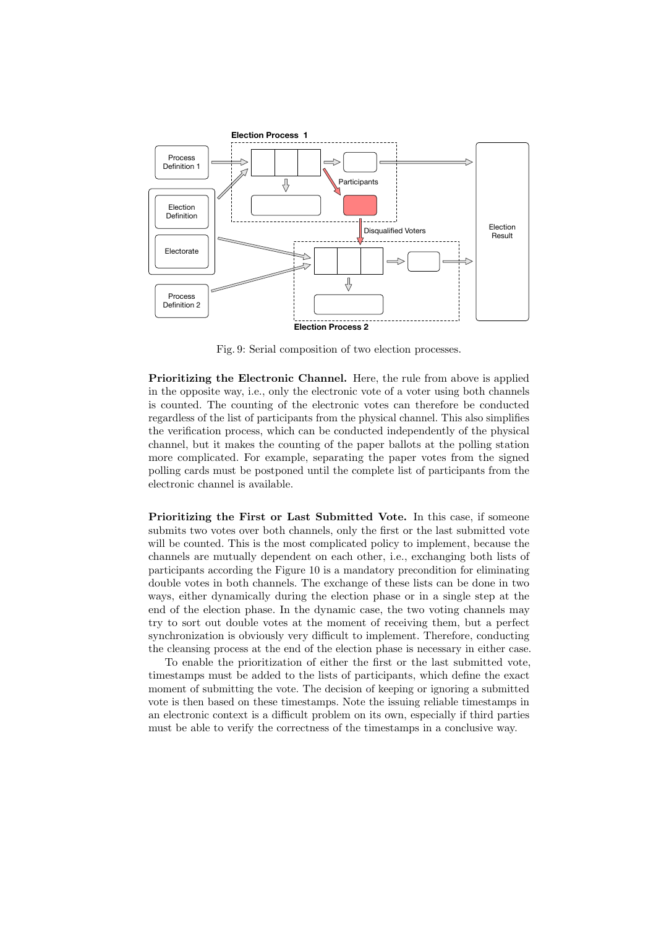

Fig. 9: Serial composition of two election processes.

Prioritizing the Electronic Channel. Here, the rule from above is applied in the opposite way, i.e., only the electronic vote of a voter using both channels is counted. The counting of the electronic votes can therefore be conducted regardless of the list of participants from the physical channel. This also simplifies the verification process, which can be conducted independently of the physical channel, but it makes the counting of the paper ballots at the polling station more complicated. For example, separating the paper votes from the signed polling cards must be postponed until the complete list of participants from the electronic channel is available.

Prioritizing the First or Last Submitted Vote. In this case, if someone submits two votes over both channels, only the first or the last submitted vote will be counted. This is the most complicated policy to implement, because the channels are mutually dependent on each other, i.e., exchanging both lists of participants according the Figure 10 is a mandatory precondition for eliminating double votes in both channels. The exchange of these lists can be done in two ways, either dynamically during the election phase or in a single step at the end of the election phase. In the dynamic case, the two voting channels may try to sort out double votes at the moment of receiving them, but a perfect synchronization is obviously very difficult to implement. Therefore, conducting the cleansing process at the end of the election phase is necessary in either case.

To enable the prioritization of either the first or the last submitted vote, timestamps must be added to the lists of participants, which define the exact moment of submitting the vote. The decision of keeping or ignoring a submitted vote is then based on these timestamps. Note the issuing reliable timestamps in an electronic context is a difficult problem on its own, especially if third parties must be able to verify the correctness of the timestamps in a conclusive way.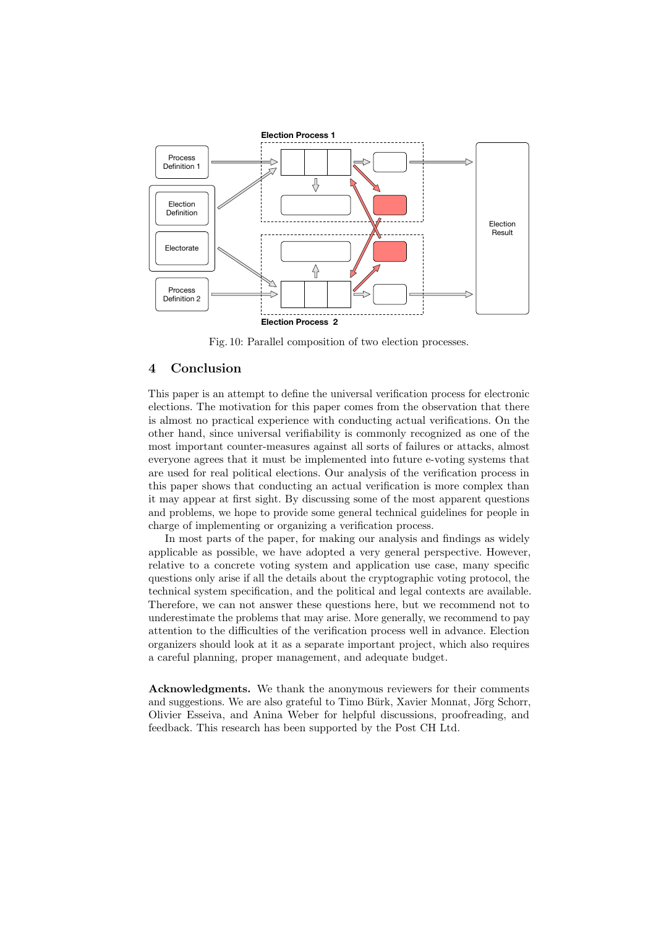

Fig. 10: Parallel composition of two election processes.

# 4 Conclusion

This paper is an attempt to define the universal verification process for electronic elections. The motivation for this paper comes from the observation that there is almost no practical experience with conducting actual verifications. On the other hand, since universal verifiability is commonly recognized as one of the most important counter-measures against all sorts of failures or attacks, almost everyone agrees that it must be implemented into future e-voting systems that are used for real political elections. Our analysis of the verification process in this paper shows that conducting an actual verification is more complex than it may appear at first sight. By discussing some of the most apparent questions and problems, we hope to provide some general technical guidelines for people in charge of implementing or organizing a verification process.

In most parts of the paper, for making our analysis and findings as widely applicable as possible, we have adopted a very general perspective. However, relative to a concrete voting system and application use case, many specific questions only arise if all the details about the cryptographic voting protocol, the technical system specification, and the political and legal contexts are available. Therefore, we can not answer these questions here, but we recommend not to underestimate the problems that may arise. More generally, we recommend to pay attention to the difficulties of the verification process well in advance. Election organizers should look at it as a separate important project, which also requires a careful planning, proper management, and adequate budget.

Acknowledgments. We thank the anonymous reviewers for their comments and suggestions. We are also grateful to Timo Bürk, Xavier Monnat, Jörg Schorr, Olivier Esseiva, and Anina Weber for helpful discussions, proofreading, and feedback. This research has been supported by the Post CH Ltd.